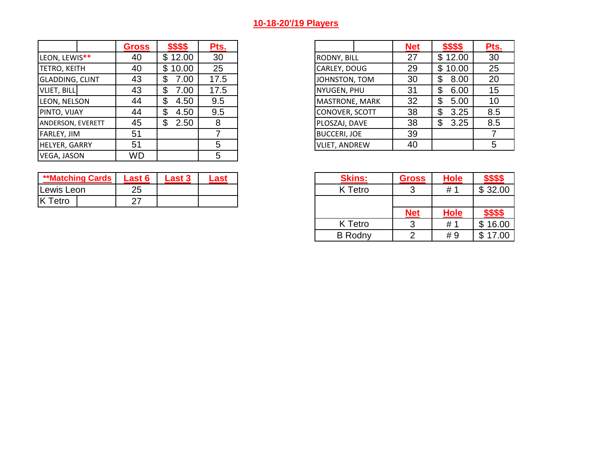## **10-18-20'/19 Players**

|                          | Gross     | \$\$\$\$   | Pts. |                       | <b>Net</b> | \$\$\$\$   |
|--------------------------|-----------|------------|------|-----------------------|------------|------------|
| LEON, LEWIS**            | 40        | \$12.00    | 30   | <b>RODNY, BILL</b>    | 27         | \$12.00    |
| <b>TETRO, KEITH</b>      | 40        | \$10.00    | 25   | CARLEY, DOUG          | 29         | \$10.00    |
| <b>GLADDING, CLINT</b>   | 43        | 7.00<br>\$ | 17.5 | JOHNSTON, TOM         | 30         | 8.00<br>\$ |
| VLIET, BILL              | 43        | \$<br>7.00 | 17.5 | NYUGEN, PHU           | 31         | 6.00<br>\$ |
| LEON, NELSON             | 44        | 4.50<br>\$ | 9.5  | <b>MASTRONE, MARK</b> | 32         | 5.00<br>Œ  |
| PINTO, VIJAY             | 44        | 4.50<br>\$ | 9.5  | CONOVER, SCOTT        | 38         | 3.25<br>\$ |
| <b>ANDERSON, EVERETT</b> | 45        | 2.50<br>\$ | 8    | PLOSZAJ, DAVE         | 38         | 3.25<br>\$ |
| <b>FARLEY, JIM</b>       | 51        |            |      | <b>BUCCERI, JOE</b>   | 39         |            |
| HELYER, GARRY            | 51        |            | 5    | <b>VLIET, ANDREW</b>  | 40         |            |
| VEGA, JASON              | <b>WD</b> |            | 5    |                       |            |            |

| <b>**Matching Cards</b> | _ast 6           | -ast 3 | .ast | <b>Skins:</b> | <b>Gross</b> | <b>Hole</b> |         |
|-------------------------|------------------|--------|------|---------------|--------------|-------------|---------|
| Lewis Leon              | つら<br>∠∪         |        |      | K Tetro       |              | H           | \$32.00 |
|                         | ^7<br><u>_ .</u> |        |      |               |              |             |         |

| <b>Gross</b> | \$\$\$\$    | Pts. |
|--------------|-------------|------|
| 40           | 12.00       | 30   |
| 40           | 10.00<br>\$ | 25   |
| 43           | 00.5        | 17.5 |
| 43           | 00.5        | 17.5 |
| 44           | 4.50        | 9.5  |
| 44           | 4.50        | 9.5  |
| 45           | 2.50        | 8    |
| 51           |             |      |
| 51           |             | 5    |

| Last 6 | <b>Last 3</b> | <u>Last</u> | <b>Skins:</b>  | <b>Gross</b> | <b>Hole</b> |                  |
|--------|---------------|-------------|----------------|--------------|-------------|------------------|
| 25     |               |             | K Tetro        | ັ            | #1          | \$32.00          |
| 27     |               |             |                |              |             |                  |
|        |               |             |                | <b>Net</b>   | <b>Hole</b> | <u> \$\$\$\$</u> |
|        |               |             | K Tetro        |              | # 1         | \$16.00          |
|        |               |             | <b>B</b> Rodny |              | #9          | \$17.00          |